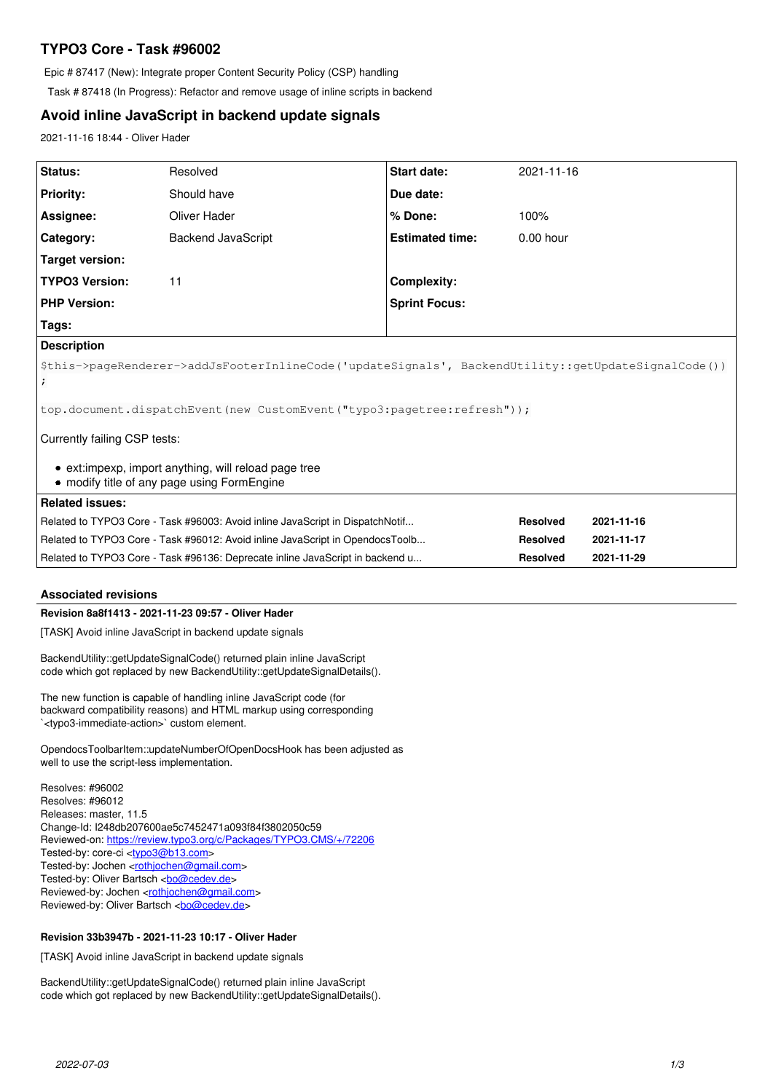# **TYPO3 Core - Task #96002**

Epic # 87417 (New): Integrate proper Content Security Policy (CSP) handling

Task # 87418 (In Progress): Refactor and remove usage of inline scripts in backend

## **Avoid inline JavaScript in backend update signals**

2021-11-16 18:44 - Oliver Hader

| Status:                                                                                             | Resolved           | Start date:            | 2021-11-16      |            |
|-----------------------------------------------------------------------------------------------------|--------------------|------------------------|-----------------|------------|
| <b>Priority:</b>                                                                                    | Should have        | Due date:              |                 |            |
| Assignee:                                                                                           | Oliver Hader       | % Done:                | 100%            |            |
| Category:                                                                                           | Backend JavaScript | <b>Estimated time:</b> | $0.00$ hour     |            |
| <b>Target version:</b>                                                                              |                    |                        |                 |            |
| <b>TYPO3 Version:</b>                                                                               | 11                 | <b>Complexity:</b>     |                 |            |
| <b>PHP Version:</b>                                                                                 |                    | <b>Sprint Focus:</b>   |                 |            |
| Tags:                                                                                               |                    |                        |                 |            |
| <b>Description</b>                                                                                  |                    |                        |                 |            |
| \$this->pageRenderer->addJsFooterInlineCode('updateSignals', BackendUtility::getUpdateSignalCode()) |                    |                        |                 |            |
| top.document.dispatchEvent(new CustomEvent("typo3:pagetree:refresh"));                              |                    |                        |                 |            |
| Currently failing CSP tests:                                                                        |                    |                        |                 |            |
| • ext:impexp, import anything, will reload page tree<br>• modify title of any page using FormEngine |                    |                        |                 |            |
| <b>Related issues:</b>                                                                              |                    |                        |                 |            |
| Related to TYPO3 Core - Task #96003: Avoid inline JavaScript in DispatchNotif                       |                    |                        | <b>Resolved</b> | 2021-11-16 |
| Related to TYPO3 Core - Task #96012: Avoid inline JavaScript in OpendocsToolb                       |                    |                        | <b>Resolved</b> | 2021-11-17 |
| Related to TYPO3 Core - Task #96136: Deprecate inline JavaScript in backend u                       |                    |                        | <b>Resolved</b> | 2021-11-29 |

## **Associated revisions**

## **Revision 8a8f1413 - 2021-11-23 09:57 - Oliver Hader**

[TASK] Avoid inline JavaScript in backend update signals

BackendUtility::getUpdateSignalCode() returned plain inline JavaScript code which got replaced by new BackendUtility::getUpdateSignalDetails().

The new function is capable of handling inline JavaScript code (for backward compatibility reasons) and HTML markup using corresponding `<typo3-immediate-action>` custom element.

OpendocsToolbarItem::updateNumberOfOpenDocsHook has been adjusted as well to use the script-less implementation.

Resolves: #96002 Resolves: #96012 Releases: master, 11.5 Change-Id: I248db207600ae5c7452471a093f84f3802050c59 Reviewed-on:<https://review.typo3.org/c/Packages/TYPO3.CMS/+/72206> Tested-by: core-ci [<typo3@b13.com](mailto:typo3@b13.com)> Tested-by: Jochen <<u>rothiochen@gmail.com</u>> Tested-by: Oliver Bartsch <br/> <br/> <br/> <br/> <br/> <br/> <br/> <br/> <br/> <br/> <br/> <br/> <br/> <br/> <br/> <br/><br/><br/> $\frac{1}{2}$ Reviewed-by: Jochen <[rothjochen@gmail.com](mailto:rothjochen@gmail.com)> Reviewed-by: Oliver Bartsch <br/> <br/> <br/> <br/> <br/> <br/> <br/> <br/> <br/> <br/> <br/> <br/> <br/> <br/> <br/> <br/><br/> $\label{eq:reduced}$ 

## **Revision 33b3947b - 2021-11-23 10:17 - Oliver Hader**

[TASK] Avoid inline JavaScript in backend update signals

BackendUtility::getUpdateSignalCode() returned plain inline JavaScript code which got replaced by new BackendUtility::getUpdateSignalDetails().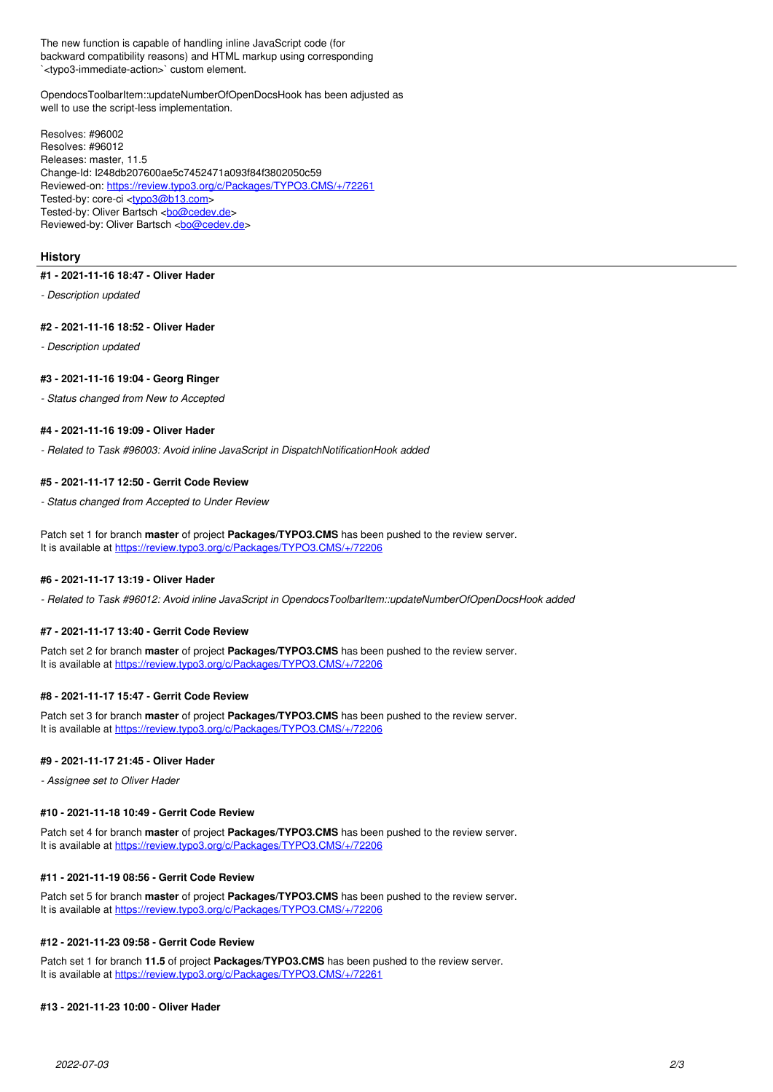The new function is capable of handling inline JavaScript code (for backward compatibility reasons) and HTML markup using corresponding `<typo3-immediate-action>` custom element.

OpendocsToolbarItem::updateNumberOfOpenDocsHook has been adjusted as well to use the script-less implementation.

Resolves: #96002 Resolves: #96012 Releases: master, 11.5 Change-Id: I248db207600ae5c7452471a093f84f3802050c59 Reviewed-on:<https://review.typo3.org/c/Packages/TYPO3.CMS/+/72261> Tested-by: core-ci <tvpo3@b13.com> Tested-by: Oliver Bartsch <br/> <br/>bo@cedev.de> Reviewed-by: Oliver Bartsch <br/> <br/> <br/> <br/> <br/> <br/> <br/> <br/> <br/> <br/> $\frac{1}{2}$ 

## **History**

### **#1 - 2021-11-16 18:47 - Oliver Hader**

*- Description updated*

### **#2 - 2021-11-16 18:52 - Oliver Hader**

*- Description updated*

### **#3 - 2021-11-16 19:04 - Georg Ringer**

*- Status changed from New to Accepted*

### **#4 - 2021-11-16 19:09 - Oliver Hader**

*- Related to Task #96003: Avoid inline JavaScript in DispatchNotificationHook added*

#### **#5 - 2021-11-17 12:50 - Gerrit Code Review**

*- Status changed from Accepted to Under Review*

Patch set 1 for branch **master** of project **Packages/TYPO3.CMS** has been pushed to the review server. It is available at <https://review.typo3.org/c/Packages/TYPO3.CMS/+/72206>

## **#6 - 2021-11-17 13:19 - Oliver Hader**

*- Related to Task #96012: Avoid inline JavaScript in OpendocsToolbarItem::updateNumberOfOpenDocsHook added*

### **#7 - 2021-11-17 13:40 - Gerrit Code Review**

Patch set 2 for branch **master** of project **Packages/TYPO3.CMS** has been pushed to the review server. It is available at <https://review.typo3.org/c/Packages/TYPO3.CMS/+/72206>

## **#8 - 2021-11-17 15:47 - Gerrit Code Review**

Patch set 3 for branch **master** of project **Packages/TYPO3.CMS** has been pushed to the review server. It is available at <https://review.typo3.org/c/Packages/TYPO3.CMS/+/72206>

## **#9 - 2021-11-17 21:45 - Oliver Hader**

*- Assignee set to Oliver Hader*

#### **#10 - 2021-11-18 10:49 - Gerrit Code Review**

Patch set 4 for branch **master** of project **Packages/TYPO3.CMS** has been pushed to the review server. It is available at <https://review.typo3.org/c/Packages/TYPO3.CMS/+/72206>

## **#11 - 2021-11-19 08:56 - Gerrit Code Review**

Patch set 5 for branch **master** of project **Packages/TYPO3.CMS** has been pushed to the review server. It is available at <https://review.typo3.org/c/Packages/TYPO3.CMS/+/72206>

## **#12 - 2021-11-23 09:58 - Gerrit Code Review**

Patch set 1 for branch **11.5** of project **Packages/TYPO3.CMS** has been pushed to the review server. It is available at <https://review.typo3.org/c/Packages/TYPO3.CMS/+/72261>

### **#13 - 2021-11-23 10:00 - Oliver Hader**